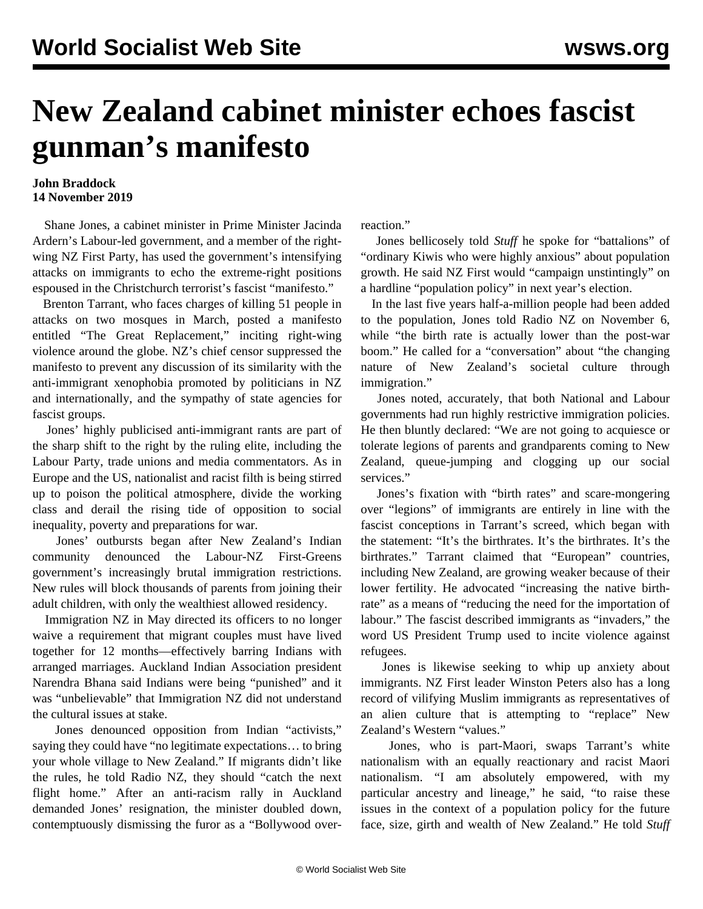## **New Zealand cabinet minister echoes fascist gunman's manifesto**

## **John Braddock 14 November 2019**

 Shane Jones, a cabinet minister in Prime Minister Jacinda Ardern's Labour-led government, and a member of the rightwing NZ First Party, has used the government's intensifying attacks on immigrants to echo the extreme-right positions espoused in the Christchurch terrorist's fascist "manifesto."

 Brenton Tarrant, who faces charges of killing 51 people in attacks on two mosques in March, posted a manifesto entitled "The Great Replacement," inciting right-wing violence around the globe. NZ's chief censor [suppressed](/en/articles/2019/03/26/mani-m26.html) the manifesto to prevent any discussion of its similarity with the anti-immigrant xenophobia promoted by politicians in NZ and internationally, and the sympathy of state agencies for fascist groups.

 Jones' highly publicised anti-immigrant rants are part of the sharp shift to the right by the ruling elite, including the Labour Party, trade unions and media commentators. As in Europe and the US, nationalist and racist filth is being stirred up to poison the political atmosphere, divide the working class and derail the rising tide of opposition to social inequality, poverty and preparations for war.

 Jones' outbursts began after New Zealand's Indian community denounced the Labour-NZ First-Greens government's increasingly brutal immigration [restrictions.](/en/articles/2019/10/22/nzim-o22.html) New rules will block thousands of parents from joining their adult children, with only the wealthiest allowed residency.

 Immigration NZ in May directed its officers to no longer waive a requirement that migrant couples must have lived together for 12 months—effectively barring Indians with arranged marriages. Auckland Indian Association president Narendra Bhana said Indians were being "punished" and it was "unbelievable" that Immigration NZ did not understand the cultural issues at stake.

 Jones denounced opposition from Indian "activists," saying they could have "no legitimate expectations… to bring your whole village to New Zealand." If migrants didn't like the rules, he told Radio NZ, they should "catch the next flight home." After an anti-racism rally in Auckland demanded Jones' resignation, the minister doubled down, contemptuously dismissing the furor as a "Bollywood overreaction."

 Jones bellicosely told *Stuff* he spoke for "battalions" of "ordinary Kiwis who were highly anxious" about population growth. He said NZ First would "campaign unstintingly" on a hardline "population policy" in next year's election.

 In the last five years half-a-million people had been added to the population, Jones told Radio NZ on November 6, while "the birth rate is actually lower than the post-war boom." He called for a "conversation" about "the changing nature of New Zealand's societal culture through immigration."

 Jones noted, accurately, that both National and Labour governments had run highly restrictive immigration policies. He then bluntly declared: "We are not going to acquiesce or tolerate legions of parents and grandparents coming to New Zealand, queue-jumping and clogging up our social services."

 Jones's fixation with "birth rates" and scare-mongering over "legions" of immigrants are entirely in line with the fascist conceptions in Tarrant's screed, which began with the statement: "It's the birthrates. It's the birthrates. It's the birthrates." Tarrant claimed that "European" countries, including New Zealand, are growing weaker because of their lower fertility. He advocated "increasing the native birthrate" as a means of "reducing the need for the importation of labour." The fascist described immigrants as "invaders," the word US President Trump used to incite violence against refugees.

 Jones is likewise seeking to whip up anxiety about immigrants. NZ First leader Winston Peters also has a long record of [vilifying Muslim immigrants](/en/articles/2016/06/20/immi-j20.html) as representatives of an alien culture that is attempting to "replace" New Zealand's Western "values."

 Jones, who is part-Maori, swaps Tarrant's white nationalism with an equally reactionary and racist Maori nationalism. "I am absolutely empowered, with my particular ancestry and lineage," he said, "to raise these issues in the context of a population policy for the future face, size, girth and wealth of New Zealand." He told *Stuff*